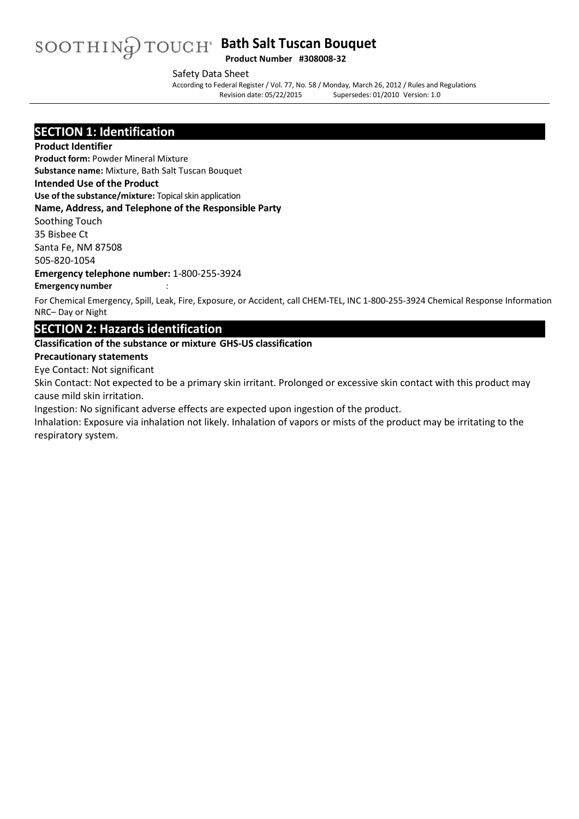# **Bath Salt Tuscan Bouquet Product Number #308008-32**

Safety Data Sheet

According to Federal Register/ Vol. 77, No. 58 / Monday, March 26, 2012 / Rules and Regulations Supersedes: 01/2010 Version: 1.0

### **SECTION 1: Identification**

#### **Product Identifier**

**Product form:** Powder Mineral Mixture **Substance name:** Mixture, Bath Salt Tuscan Bouquet

#### **Intended Use of the Product**

**Use of the substance/mixture:** Topical skin application

#### **Name, Address, and Telephone of the Responsible Party**

Soothing Touch

35 Bisbee Ct Santa Fe, NM 87508

505-820-1054

**Emergency telephone number:** 1-800-255-3924

#### **Emergency number** :

For Chemical Emergency, Spill, Leak, Fire, Exposure, or Accident, call CHEM-TEL, INC 1-800-255-3924 Chemical Response Information NRC– Day or Night

### **SECTION 2: Hazards identification**

#### **Classification of the substance or mixture GHS-US classification**

#### **Precautionary statements**

Eye Contact: Not significant

Skin Contact: Not expected to be a primary skin irritant. Prolonged or excessive skin contact with this product may cause mild skin irritation.

Ingestion: No significant adverse effects are expected upon ingestion of the product.

Inhalation: Exposure via inhalation not likely. Inhalation of vapors or mists of the product may be irritating to the respiratory system.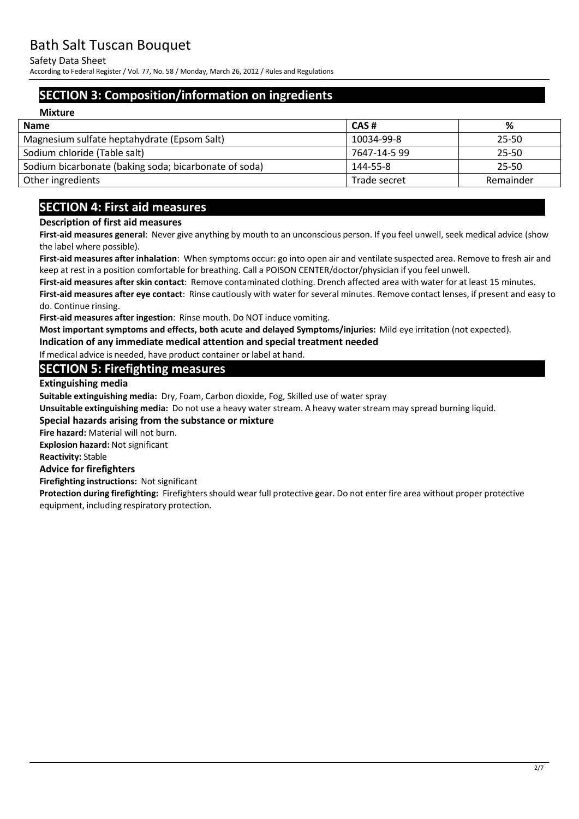Safety Data Sheet

According to Federal Register/ Vol. 77, No. 58 / Monday, March 26, 2012 / Rules and Regulations

# **SECTION 3: Composition/information on ingredients**

| <b>Mixture</b>                                        |              |           |
|-------------------------------------------------------|--------------|-----------|
| <b>Name</b>                                           | CAS#         | %         |
| Magnesium sulfate heptahydrate (Epsom Salt)           | 10034-99-8   | 25-50     |
| Sodium chloride (Table salt)                          | 7647-14-5 99 | 25-50     |
| Sodium bicarbonate (baking soda; bicarbonate of soda) | 144-55-8     | 25-50     |
| Other ingredients                                     | Trade secret | Remainder |

# **SECTION 4: First aid measures**

#### **Description of first aid measures**

**First-aid measures general**: Never give anything by mouth to an unconscious person. If you feel unwell, seek medical advice (show the label where possible).

**First-aid measures after inhalation**: When symptoms occur: go into open air and ventilate suspected area. Remove to fresh air and keep at rest in a position comfortable for breathing. Call a POISON CENTER/doctor/physician if you feel unwell.

**First-aid measures after skin contact**: Remove contaminated clothing. Drench affected area with water for at least 15 minutes. **First-aid measures after eye contact**: Rinse cautiously with water for several minutes. Remove contact lenses, if present and easy to do. Continue rinsing.

**First-aid measures after ingestion**: Rinse mouth. Do NOT induce vomiting.

**Most important symptoms and effects, both acute and delayed Symptoms/injuries:** Mild eye irritation (not expected).

**Indication of any immediate medical attention and special treatment needed** 

If medical advice is needed, have product container or label at hand.

### **SECTION 5: Firefighting measures**

**Extinguishing media**

**Suitable extinguishing media:** Dry, Foam, Carbon dioxide, Fog, Skilled use of water spray

**Unsuitable extinguishing media:** Do not use a heavy water stream. A heavy water stream may spread burning liquid.

#### **Special hazards arising from the substance or mixture**

**Fire hazard:** Material will not burn.

**Explosion hazard:** Not significant

**Reactivity:** Stable

#### **Advice for firefighters**

**Firefighting instructions:** Not significant

**Protection during firefighting:** Firefighters should wear full protective gear. Do not enter fire area without proper protective equipment, including respiratory protection.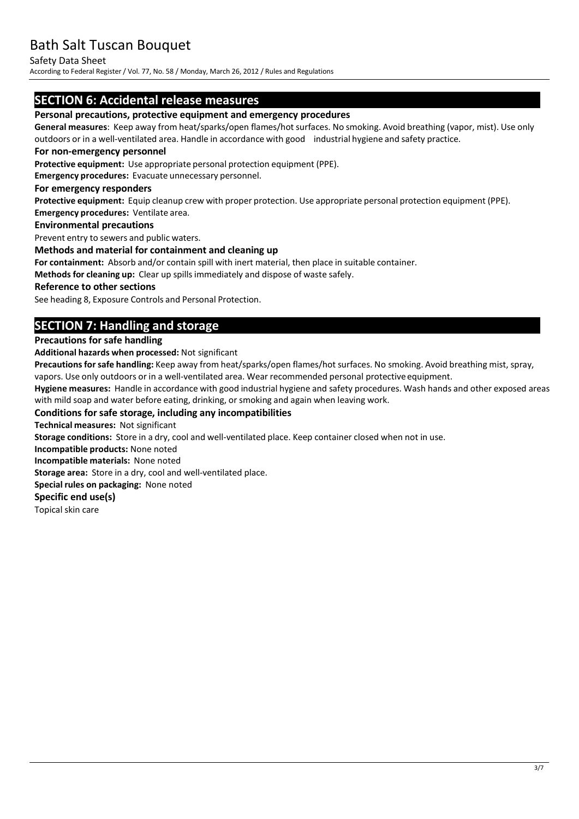Safety Data Sheet

According to Federal Register/ Vol. 77, No. 58 / Monday, March 26, 2012 / Rules and Regulations

### **SECTION 6: Accidental release measures**

#### **Personal precautions, protective equipment and emergency procedures**

**General measures**: Keep away from heat/sparks/open flames/hot surfaces. No smoking. Avoid breathing (vapor, mist). Use only outdoors or in a well-ventilated area. Handle in accordance with good industrial hygiene and safety practice.

#### **For non-emergency personnel**

**Protective equipment:** Use appropriate personal protection equipment (PPE).

**Emergency procedures:** Evacuate unnecessary personnel.

#### **For emergency responders**

**Protective equipment:** Equip cleanup crew with proper protection. Use appropriate personal protection equipment (PPE). **Emergency procedures:** Ventilate area.

### **Environmental precautions**

Prevent entry to sewers and public waters.

#### **Methods and material for containment and cleaning up**

**For containment:** Absorb and/or contain spill with inert material, then place in suitable container.

**Methods for cleaning up:** Clear up spillsimmediately and dispose of waste safely.

#### **Reference to other sections**

See heading 8, Exposure Controls and Personal Protection.

# **SECTION 7: Handling and storage**

#### **Precautions for safe handling**

**Additional hazards when processed:** Not significant

Precautions for safe handling: Keep away from heat/sparks/open flames/hot surfaces. No smoking. Avoid breathing mist, spray, vapors. Use only outdoors or in a well-ventilated area. Wear recommended personal protective equipment.

**Hygiene measures:** Handle in accordance with good industrial hygiene and safety procedures. Wash hands and other exposed areas with mild soap and water before eating, drinking, or smoking and again when leaving work.

#### **Conditions for safe storage, including any incompatibilities**

**Technical measures:** Not significant

**Storage conditions:** Store in a dry, cool and well-ventilated place. Keep container closed when not in use.

**Incompatible products:** None noted

**Incompatible materials:** None noted

**Storage area:** Store in a dry, cool and well-ventilated place.

**Special rules on packaging:** None noted

#### **Specific end use(s)**

Topical skin care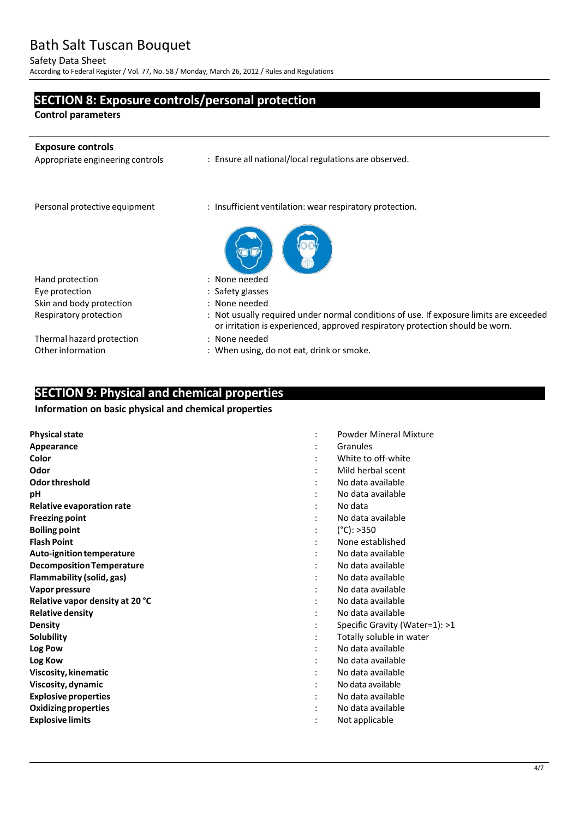#### Safety Data Sheet

According to Federal Register/ Vol. 77, No. 58 / Monday, March 26, 2012 / Rules and Regulations

# **SECTION 8: Exposure controls/personal protection**

**Control parameters**

j.

| <b>Exposure controls</b><br>Appropriate engineering controls | : Ensure all national/local regulations are observed.                                                                                                                   |
|--------------------------------------------------------------|-------------------------------------------------------------------------------------------------------------------------------------------------------------------------|
| Personal protective equipment                                | : Insufficient ventilation: wear respiratory protection.                                                                                                                |
|                                                              |                                                                                                                                                                         |
| Hand protection                                              | : None needed                                                                                                                                                           |
| Eye protection                                               | : Safety glasses                                                                                                                                                        |
| Skin and body protection                                     | : None needed                                                                                                                                                           |
| Respiratory protection                                       | : Not usually required under normal conditions of use. If exposure limits are exceeded<br>or irritation is experienced, approved respiratory protection should be worn. |
| Thermal hazard protection                                    | : None needed                                                                                                                                                           |
| Other information                                            | : When using, do not eat, drink or smoke.                                                                                                                               |

# **SECTION 9: Physical and chemical properties**

#### **Information on basic physical and chemical properties**

|                                  | $\ddot{\cdot}$ | <b>Powder Mineral Mixture</b>  |
|----------------------------------|----------------|--------------------------------|
| <b>Physical state</b>            |                |                                |
| Appearance                       |                | Granules                       |
| Color                            |                | White to off-white             |
| Odor                             |                | Mild herbal scent              |
| Odor threshold                   |                | No data available              |
| рH                               |                | No data available              |
| Relative evaporation rate        |                | No data                        |
| <b>Freezing point</b>            |                | No data available              |
| <b>Boiling point</b>             |                | $(^{\circ}C):>350$             |
| <b>Flash Point</b>               |                | None established               |
| Auto-ignition temperature        |                | No data available              |
| <b>Decomposition Temperature</b> |                | No data available              |
| Flammability (solid, gas)        |                | No data available              |
| Vapor pressure                   |                | No data available              |
| Relative vapor density at 20 °C  |                | No data available              |
| <b>Relative density</b>          |                | No data available              |
| Density                          |                | Specific Gravity (Water=1): >1 |
| <b>Solubility</b>                |                | Totally soluble in water       |
| Log Pow                          |                | No data available              |
| Log Kow                          |                | No data available              |
| Viscosity, kinematic             |                | No data available              |
| Viscosity, dynamic               |                | No data available              |
| <b>Explosive properties</b>      |                | No data available              |
| <b>Oxidizing properties</b>      |                | No data available              |
| <b>Explosive limits</b>          |                | Not applicable                 |
|                                  |                |                                |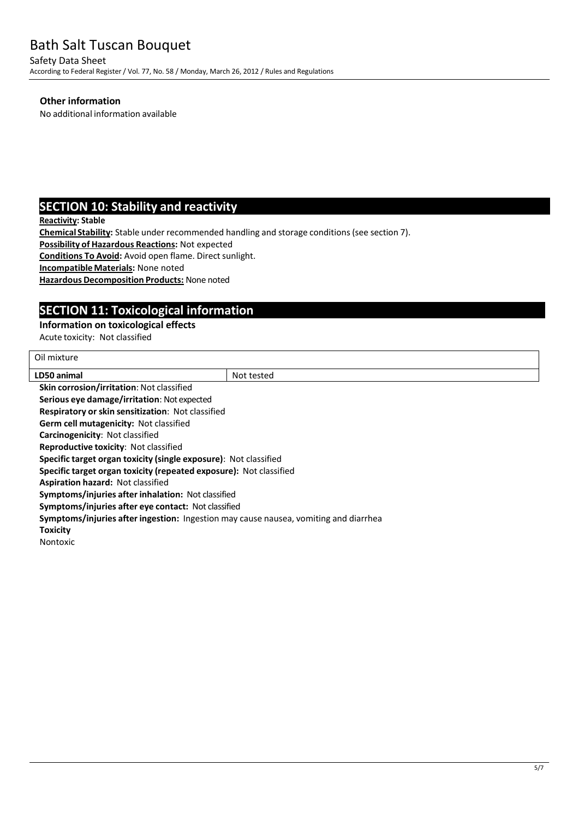Safety Data Sheet According to Federal Register/ Vol. 77, No. 58 / Monday, March 26, 2012 / Rules and Regulations

#### **Other information**

No additional information available

## **SECTION 10: Stability and reactivity**

**Reactivity: Stable**

**Chemical Stability:** Stable under recommended handling and storage conditions(see section 7).

**Possibility of Hazardous Reactions:** Not expected

**Conditions To Avoid:** Avoid open flame. Direct sunlight.

**IncompatibleMaterials:** None noted

**Hazardous Decomposition Products: None noted** 

# **SECTION 11: Toxicological information**

#### **Information on toxicological effects**

Acute toxicity: Not classified

| Oil mixture                                                                          |            |
|--------------------------------------------------------------------------------------|------------|
| LD50 animal                                                                          | Not tested |
| <b>Skin corrosion/irritation: Not classified</b>                                     |            |
| Serious eye damage/irritation: Not expected                                          |            |
| <b>Respiratory or skin sensitization: Not classified</b>                             |            |
| <b>Germ cell mutagenicity: Not classified</b>                                        |            |
| <b>Carcinogenicity: Not classified</b>                                               |            |
| <b>Reproductive toxicity: Not classified</b>                                         |            |
| Specific target organ toxicity (single exposure): Not classified                     |            |
| Specific target organ toxicity (repeated exposure): Not classified                   |            |
| <b>Aspiration hazard: Not classified</b>                                             |            |
| Symptoms/injuries after inhalation: Not classified                                   |            |
| Symptoms/injuries after eye contact: Not classified                                  |            |
| Symptoms/injuries after ingestion: Ingestion may cause nausea, vomiting and diarrhea |            |
| Toxicity                                                                             |            |
| Nontoxic                                                                             |            |
|                                                                                      |            |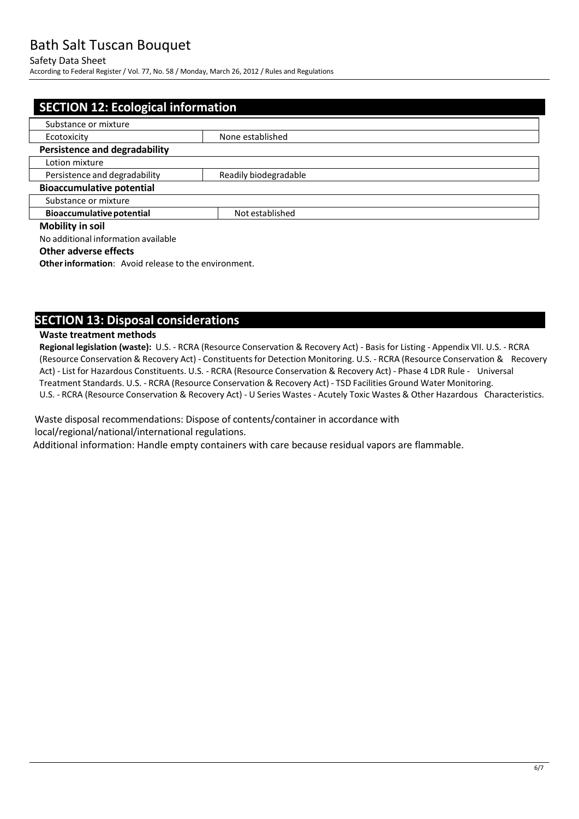#### Safety Data Sheet

According to Federal Register/ Vol. 77, No. 58 / Monday, March 26, 2012 / Rules and Regulations

| <b>SECTION 12: Ecological information</b> |                       |  |
|-------------------------------------------|-----------------------|--|
|                                           |                       |  |
| Substance or mixture                      |                       |  |
| Ecotoxicity                               | None established      |  |
| <b>Persistence and degradability</b>      |                       |  |
| Lotion mixture                            |                       |  |
| Persistence and degradability             | Readily biodegradable |  |
| <b>Bioaccumulative potential</b>          |                       |  |
| Substance or mixture                      |                       |  |
| <b>Bioaccumulative potential</b>          | Not established       |  |
| <b>Mobility in soil</b>                   |                       |  |
| No additional information available       |                       |  |

#### **Other adverse effects**

**Other information:** Avoid release to the environment.

### **SECTION 13: Disposal considerations**

#### **Waste treatment methods**

**Regional legislation (waste):** U.S. - RCRA (Resource Conservation & Recovery Act) - Basis for Listing - Appendix VII. U.S. - RCRA (Resource Conservation & Recovery Act) - Constituentsfor Detection Monitoring. U.S. - RCRA (Resource Conservation & Recovery Act) - List for Hazardous Constituents. U.S. - RCRA (Resource Conservation & Recovery Act) - Phase 4 LDR Rule - Universal Treatment Standards. U.S. - RCRA (Resource Conservation & Recovery Act) - TSD Facilities Ground Water Monitoring. U.S. - RCRA (Resource Conservation & Recovery Act) - U Series Wastes - Acutely Toxic Wastes & Other Hazardous Characteristics.

Waste disposal recommendations: Dispose of contents/container in accordance with local/regional/national/international regulations.

Additional information: Handle empty containers with care because residual vapors are flammable.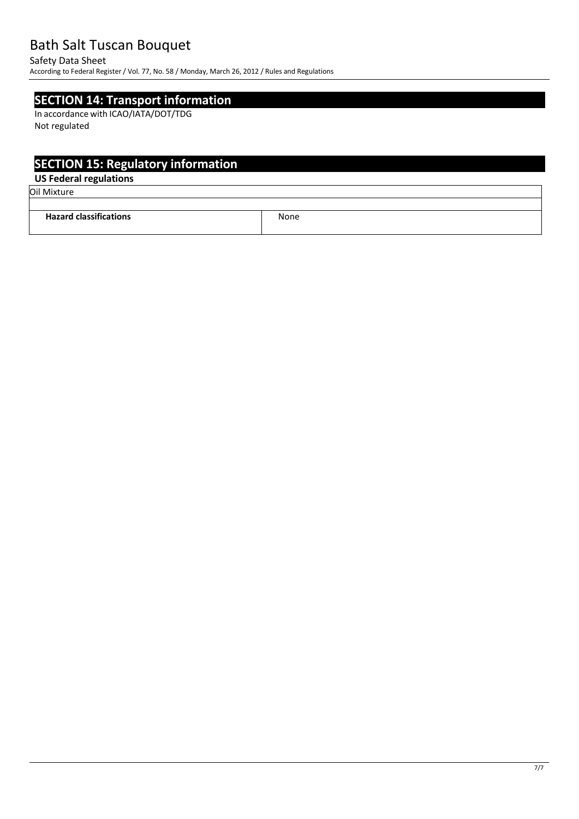#### Safety Data Sheet

According to Federal Register/ Vol. 77, No. 58 / Monday, March 26, 2012 / Rules and Regulations

### **SECTION 14: Transport information**

In accordance with ICAO/IATA/DOT/TDG Not regulated

# **SECTION 15: Regulatory information**

### **US Federal regulations**

Oil Mixture

| <b>Hazard classifications</b> | None |
|-------------------------------|------|
|                               |      |